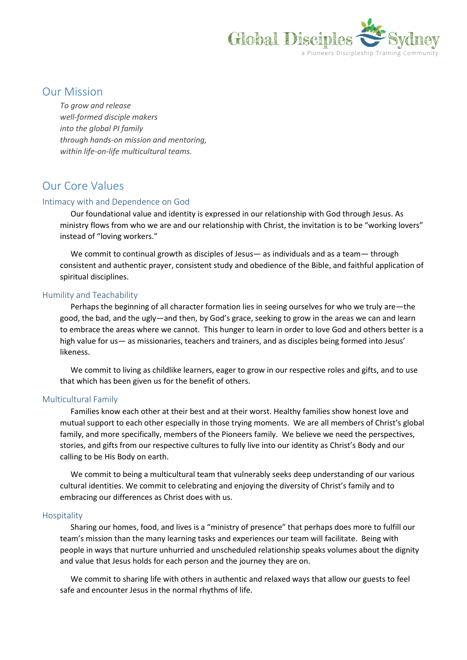

## Our Mission

*To grow and release well-formed disciple makers into the global PI family through hands-on mission and mentoring, within life-on-life multicultural teams.*

# Our Core Values

### Intimacy with and Dependence on God

Our foundational value and identity is expressed in our relationship with God through Jesus. As ministry flows from who we are and our relationship with Christ, the invitation is to be "working lovers" instead of "loving workers."

We commit to continual growth as disciples of Jesus— as individuals and as a team— through consistent and authentic prayer, consistent study and obedience of the Bible, and faithful application of spiritual disciplines.

### Humility and Teachability

Perhaps the beginning of all character formation lies in seeing ourselves for who we truly are—the good, the bad, and the ugly—and then, by God's grace, seeking to grow in the areas we can and learn to embrace the areas where we cannot. This hunger to learn in order to love God and others better is a high value for us— as missionaries, teachers and trainers, and as disciples being formed into Jesus' likeness.

We commit to living as childlike learners, eager to grow in our respective roles and gifts, and to use that which has been given us for the benefit of others.

### Multicultural Family

Families know each other at their best and at their worst. Healthy families show honest love and mutual support to each other especially in those trying moments. We are all members of Christ's global family, and more specifically, members of the Pioneers family. We believe we need the perspectives, stories, and gifts from our respective cultures to fully live into our identity as Christ's Body and our calling to be His Body on earth.

We commit to being a multicultural team that vulnerably seeks deep understanding of our various cultural identities. We commit to celebrating and enjoying the diversity of Christ's family and to embracing our differences as Christ does with us.

#### Hospitality

Sharing our homes, food, and lives is a "ministry of presence" that perhaps does more to fulfill our team's mission than the many learning tasks and experiences our team will facilitate. Being with people in ways that nurture unhurried and unscheduled relationship speaks volumes about the dignity and value that Jesus holds for each person and the journey they are on.

We commit to sharing life with others in authentic and relaxed ways that allow our guests to feel safe and encounter Jesus in the normal rhythms of life.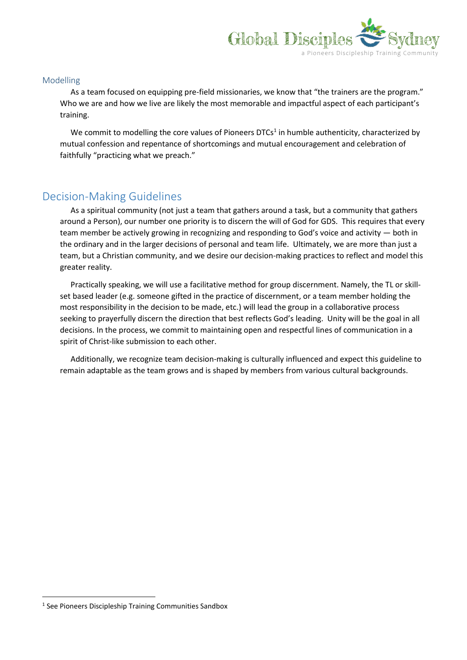

### Modelling

As a team focused on equipping pre-field missionaries, we know that "the trainers are the program." Who we are and how we live are likely the most memorable and impactful aspect of each participant's training.

We commit to modelling the core values of Pioneers DTCs<sup>1</sup> in humble authenticity, characterized by mutual confession and repentance of shortcomings and mutual encouragement and celebration of faithfully "practicing what we preach."

## Decision-Making Guidelines

As a spiritual community (not just a team that gathers around a task, but a community that gathers around a Person), our number one priority is to discern the will of God for GDS. This requires that every team member be actively growing in recognizing and responding to God's voice and activity ― both in the ordinary and in the larger decisions of personal and team life. Ultimately, we are more than just a team, but a Christian community, and we desire our decision-making practices to reflect and model this greater reality.

Practically speaking, we will use a facilitative method for group discernment. Namely, the TL or skillset based leader (e.g. someone gifted in the practice of discernment, or a team member holding the most responsibility in the decision to be made, etc.) will lead the group in a collaborative process seeking to prayerfully discern the direction that best reflects God's leading. Unity will be the goal in all decisions. In the process, we commit to maintaining open and respectful lines of communication in a spirit of Christ-like submission to each other.

Additionally, we recognize team decision-making is culturally influenced and expect this guideline to remain adaptable as the team grows and is shaped by members from various cultural backgrounds.

**.** 

<sup>&</sup>lt;sup>1</sup> See Pioneers Discipleship Training Communities Sandbox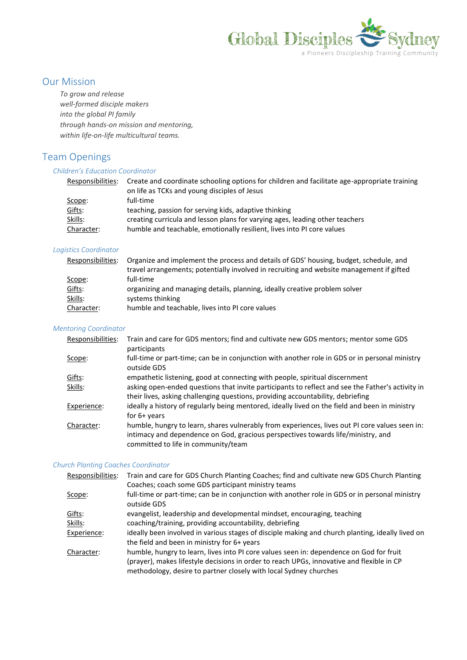

## Our Mission

*To grow and release well-formed disciple makers into the global PI family through hands-on mission and mentoring, within life-on-life multicultural teams.*

# Team Openings

### *Children's Education Coordinator*

| Responsibilities: | Create and coordinate schooling options for children and facilitate age-appropriate training<br>on life as TCKs and young disciples of Jesus |
|-------------------|----------------------------------------------------------------------------------------------------------------------------------------------|
|                   |                                                                                                                                              |
| Scope:            | full-time                                                                                                                                    |
| Gifts:            | teaching, passion for serving kids, adaptive thinking                                                                                        |
| Skills:           | creating curricula and lesson plans for varying ages, leading other teachers                                                                 |
| Character:        | humble and teachable, emotionally resilient, lives into PI core values                                                                       |

### *Logistics Coordinator*

| Responsibilities: | Organize and implement the process and details of GDS' housing, budget, schedule, and    |
|-------------------|------------------------------------------------------------------------------------------|
|                   | travel arrangements; potentially involved in recruiting and website management if gifted |
| Scope:            | full-time                                                                                |
| Gifts:            | organizing and managing details, planning, ideally creative problem solver               |
| Skills:           | systems thinking                                                                         |
| Character:        | humble and teachable, lives into PI core values                                          |

#### *Mentoring Coordinator*

| Responsibilities: | Train and care for GDS mentors; find and cultivate new GDS mentors; mentor some GDS<br>participants                                                                                                                       |
|-------------------|---------------------------------------------------------------------------------------------------------------------------------------------------------------------------------------------------------------------------|
| Scope:            | full-time or part-time; can be in conjunction with another role in GDS or in personal ministry<br>outside GDS                                                                                                             |
| Gifts:            | empathetic listening, good at connecting with people, spiritual discernment                                                                                                                                               |
| Skills:           | asking open-ended questions that invite participants to reflect and see the Father's activity in<br>their lives, asking challenging questions, providing accountability, debriefing                                       |
| Experience:       | ideally a history of regularly being mentored, ideally lived on the field and been in ministry<br>for $6+$ years                                                                                                          |
| Character:        | humble, hungry to learn, shares vulnerably from experiences, lives out PI core values seen in:<br>intimacy and dependence on God, gracious perspectives towards life/ministry, and<br>committed to life in community/team |

#### *Church Planting Coaches Coordinator*

| Responsibilities: | Train and care for GDS Church Planting Coaches; find and cultivate new GDS Church Planting                                                                                                                                                                |
|-------------------|-----------------------------------------------------------------------------------------------------------------------------------------------------------------------------------------------------------------------------------------------------------|
|                   | Coaches; coach some GDS participant ministry teams                                                                                                                                                                                                        |
| Scope:            | full-time or part-time; can be in conjunction with another role in GDS or in personal ministry<br>outside GDS                                                                                                                                             |
| Gifts:            | evangelist, leadership and developmental mindset, encouraging, teaching                                                                                                                                                                                   |
| <u>Skills:</u>    | coaching/training, providing accountability, debriefing                                                                                                                                                                                                   |
| Experience:       | ideally been involved in various stages of disciple making and church planting, ideally lived on<br>the field and been in ministry for 6+ years                                                                                                           |
| Character:        | humble, hungry to learn, lives into PI core values seen in: dependence on God for fruit<br>(prayer), makes lifestyle decisions in order to reach UPGs, innovative and flexible in CP<br>methodology, desire to partner closely with local Sydney churches |